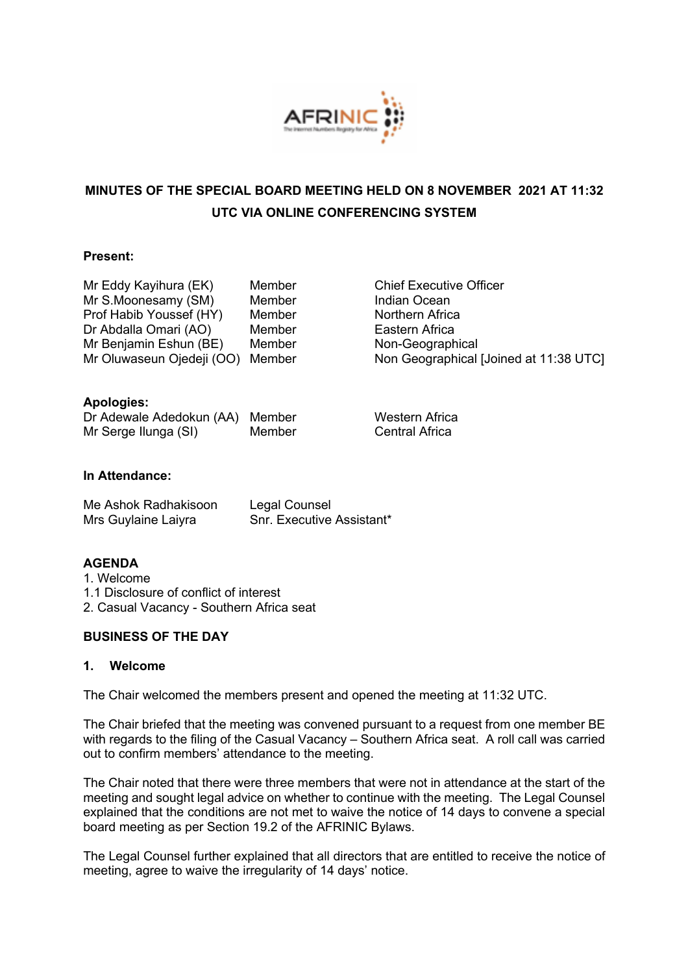

# **MINUTES OF THE SPECIAL BOARD MEETING HELD ON 8 NOVEMBER 2021 AT 11:32 UTC VIA ONLINE CONFERENCING SYSTEM**

#### **Present:**

| Mr Eddy Kayihura (EK)     | Member |
|---------------------------|--------|
| Mr S.Moonesamy (SM)       | Member |
| Prof Habib Youssef (HY)   | Member |
| Dr Abdalla Omari (AO)     | Member |
| Mr Benjamin Eshun (BE)    | Member |
| Mr Oluwaseun Ojedeji (OO) | Member |

Chief Executive Officer Indian Ocean Northern Africa Eastern Africa Non-Geographical Non Geographical [Joined at 11:38 UTC]

## **Apologies:**

| Dr Adewale Adedokun (AA) Member |        |
|---------------------------------|--------|
| Mr Serge Ilunga (SI)            | Member |

Western Africa Central Africa

## **In Attendance:**

| Me Ashok Radhakisoon | Legal Counsel                    |
|----------------------|----------------------------------|
| Mrs Guylaine Laiyra  | <b>Snr. Executive Assistant*</b> |

#### **AGENDA**

1. Welcome 1.1 Disclosure of conflict of interest 2. Casual Vacancy - Southern Africa seat

#### **BUSINESS OF THE DAY**

#### **1. Welcome**

The Chair welcomed the members present and opened the meeting at 11:32 UTC.

The Chair briefed that the meeting was convened pursuant to a request from one member BE with regards to the filing of the Casual Vacancy – Southern Africa seat. A roll call was carried out to confirm members' attendance to the meeting.

The Chair noted that there were three members that were not in attendance at the start of the meeting and sought legal advice on whether to continue with the meeting. The Legal Counsel explained that the conditions are not met to waive the notice of 14 days to convene a special board meeting as per Section 19.2 of the AFRINIC Bylaws.

The Legal Counsel further explained that all directors that are entitled to receive the notice of meeting, agree to waive the irregularity of 14 days' notice.